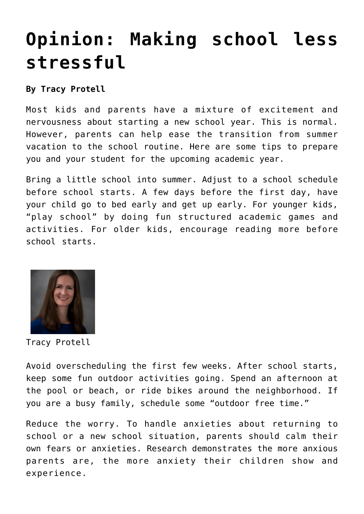## **[Opinion: Making school less](https://www.laketahoenews.net/2015/08/opinion-making-school-less-stressful/) [stressful](https://www.laketahoenews.net/2015/08/opinion-making-school-less-stressful/)**

**By Tracy Protell**

Most kids and parents have a mixture of excitement and nervousness about starting a new school year. This is normal. However, parents can help ease the transition from summer vacation to the school routine. Here are some tips to prepare you and your student for the upcoming academic year.

Bring a little school into summer. Adjust to a school schedule before school starts. A few days before the first day, have your child go to bed early and get up early. For younger kids, "play school" by doing fun structured academic games and activities. For older kids, encourage reading more before school starts.



Tracy Protell

Avoid overscheduling the first few weeks. After school starts, keep some fun outdoor activities going. Spend an afternoon at the pool or beach, or ride bikes around the neighborhood. If you are a busy family, schedule some "outdoor free time."

Reduce the worry. To handle anxieties about returning to school or a new school situation, parents should calm their own fears or anxieties. Research demonstrates the more anxious parents are, the more anxiety their children show and experience.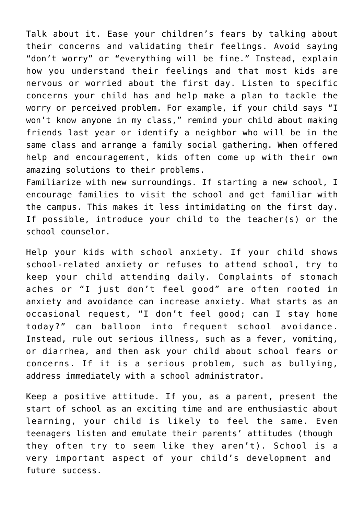Talk about it. Ease your children's fears by talking about their concerns and validating their feelings. Avoid saying "don't worry" or "everything will be fine." Instead, explain how you understand their feelings and that most kids are nervous or worried about the first day. Listen to specific concerns your child has and help make a plan to tackle the worry or perceived problem. For example, if your child says "I won't know anyone in my class," remind your child about making friends last year or identify a neighbor who will be in the same class and arrange a family social gathering. When offered help and encouragement, kids often come up with their own amazing solutions to their problems.

Familiarize with new surroundings. If starting a new school, I encourage families to visit the school and get familiar with the campus. This makes it less intimidating on the first day. If possible, introduce your child to the teacher(s) or the school counselor.

Help your kids with school anxiety. If your child shows school-related anxiety or refuses to attend school, try to keep your child attending daily. Complaints of stomach aches or "I just don't feel good" are often rooted in anxiety and avoidance can increase anxiety. What starts as an occasional request, "I don't feel good; can I stay home today?" can balloon into frequent school avoidance. Instead, rule out serious illness, such as a fever, vomiting, or diarrhea, and then ask your child about school fears or concerns. If it is a serious problem, such as bullying, address immediately with a school administrator.

Keep a positive attitude. If you, as a parent, present the start of school as an exciting time and are enthusiastic about learning, your child is likely to feel the same. Even teenagers listen and emulate their parents' attitudes (though they often try to seem like they aren't). School is a very important aspect of your child's development and future success.